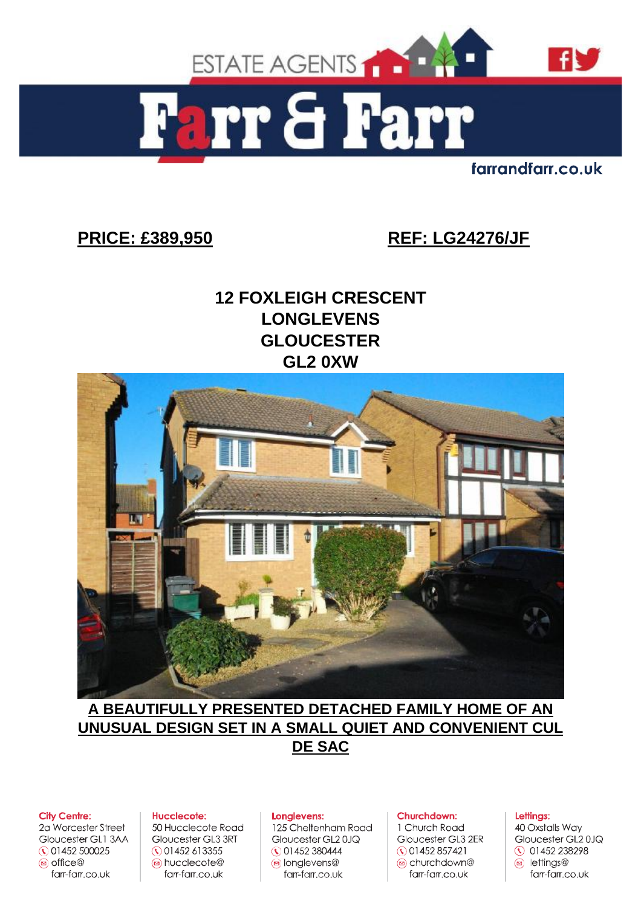

farrandfarr.co.uk

# **PRICE: £389,950 REF: LG24276/JF**

# **12 FOXLEIGH CRESCENT LONGLEVENS GLOUCESTER GL2 0XW**



**A BEAUTIFULLY PRESENTED DETACHED FAMILY HOME OF AN UNUSUAL DESIGN SET IN A SMALL QUIET AND CONVENIENT CUL DE SAC** 

#### **City Centre:**

2a Worcester Street Gloucester GL1 3AA ◯ 01452 500025 2 office farr-farr.co.uk

#### Hucclecote:

50 Hucclecote Road Gloucester GL3 3RT  $\Omega$  01452 613355 a hucclecote@ farr-farr.co.uk

#### Longlevens:

125 Cheltenham Road Gloucester GL20JQ ◯ 01452 380444 o longlevens@ farr-farr.co.uk

#### Churchdown:

1 Church Road Gloucester GL3 2ER  $\odot$  01452 857421 churchdown@ farr-farr.co.uk

#### Lettings:

40 Oxstalls Way Gloucester GL2 0JQ **① 01452 238298**  $\circledcirc$  lettings $\circledcirc$ farr-farr.co.uk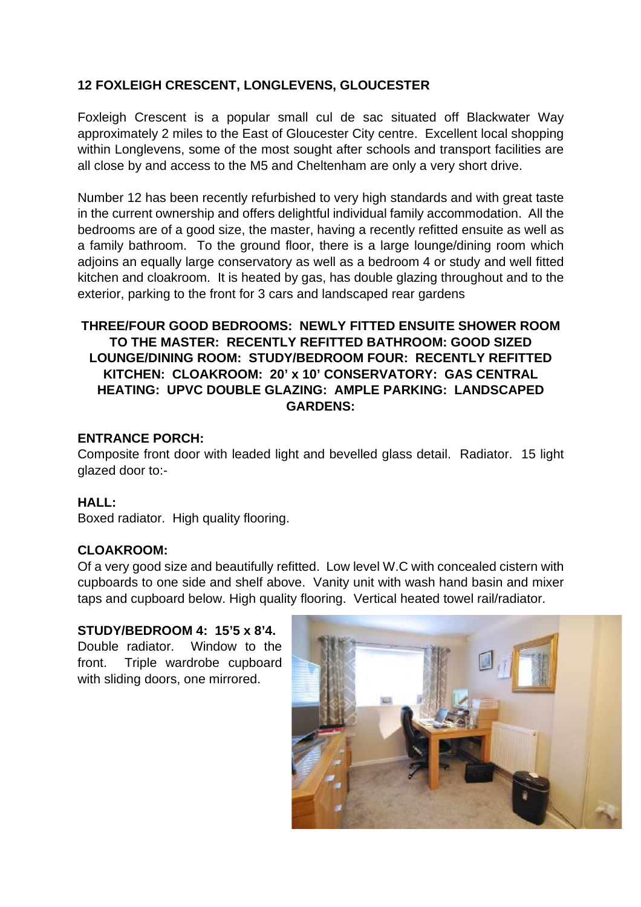## **12 FOXLEIGH CRESCENT, LONGLEVENS, GLOUCESTER**

Foxleigh Crescent is a popular small cul de sac situated off Blackwater Way approximately 2 miles to the East of Gloucester City centre. Excellent local shopping within Longlevens, some of the most sought after schools and transport facilities are all close by and access to the M5 and Cheltenham are only a very short drive.

Number 12 has been recently refurbished to very high standards and with great taste in the current ownership and offers delightful individual family accommodation. All the bedrooms are of a good size, the master, having a recently refitted ensuite as well as a family bathroom. To the ground floor, there is a large lounge/dining room which adjoins an equally large conservatory as well as a bedroom 4 or study and well fitted kitchen and cloakroom. It is heated by gas, has double glazing throughout and to the exterior, parking to the front for 3 cars and landscaped rear gardens

## **THREE/FOUR GOOD BEDROOMS: NEWLY FITTED ENSUITE SHOWER ROOM TO THE MASTER: RECENTLY REFITTED BATHROOM: GOOD SIZED LOUNGE/DINING ROOM: STUDY/BEDROOM FOUR: RECENTLY REFITTED KITCHEN: CLOAKROOM: 20' x 10' CONSERVATORY: GAS CENTRAL HEATING: UPVC DOUBLE GLAZING: AMPLE PARKING: LANDSCAPED GARDENS:**

#### **ENTRANCE PORCH:**

Composite front door with leaded light and bevelled glass detail. Radiator. 15 light glazed door to:-

## **HALL:**

Boxed radiator. High quality flooring.

## **CLOAKROOM:**

Of a very good size and beautifully refitted. Low level W.C with concealed cistern with cupboards to one side and shelf above. Vanity unit with wash hand basin and mixer taps and cupboard below. High quality flooring. Vertical heated towel rail/radiator.

#### **STUDY/BEDROOM 4: 15'5 x 8'4.**

Double radiator. Window to the front. Triple wardrobe cupboard with sliding doors, one mirrored.

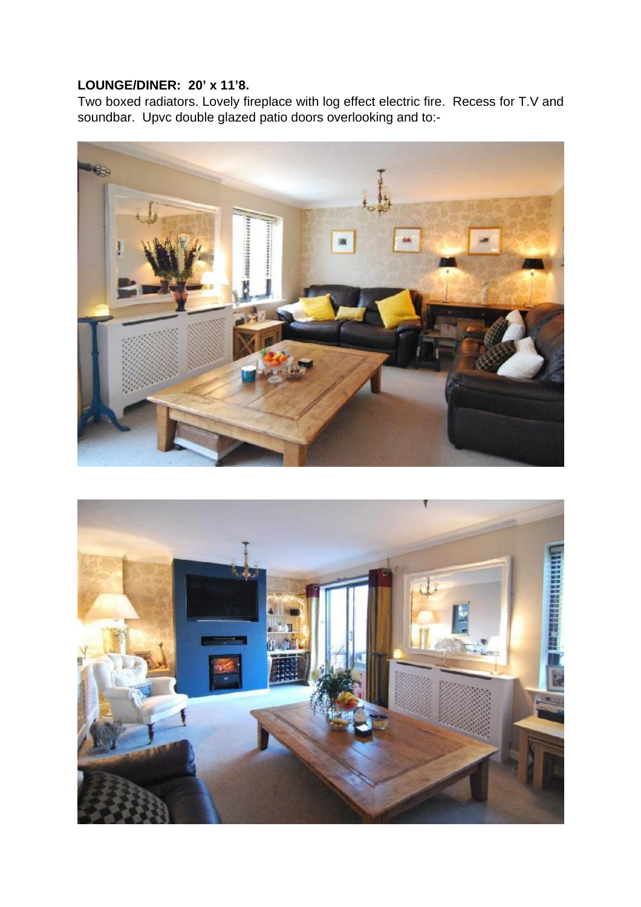# **LOUNGE/DINER: 20' x 11'8.**

Two boxed radiators. Lovely fireplace with log effect electric fire. Recess for T.V and soundbar. Upvc double glazed patio doors overlooking and to:-



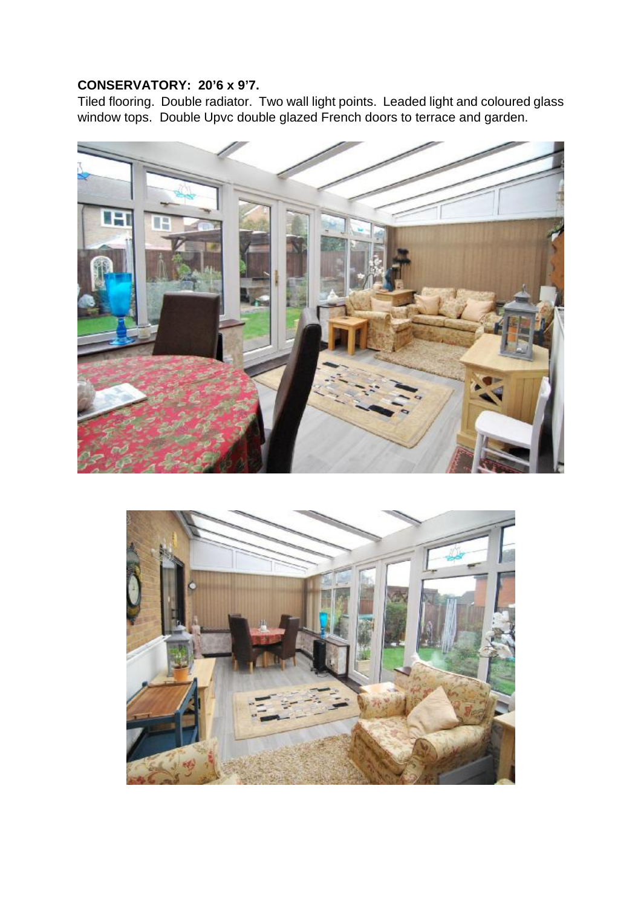# **CONSERVATORY: 20'6 x 9'7.**

Tiled flooring. Double radiator. Two wall light points. Leaded light and coloured glass window tops. Double Upvc double glazed French doors to terrace and garden.



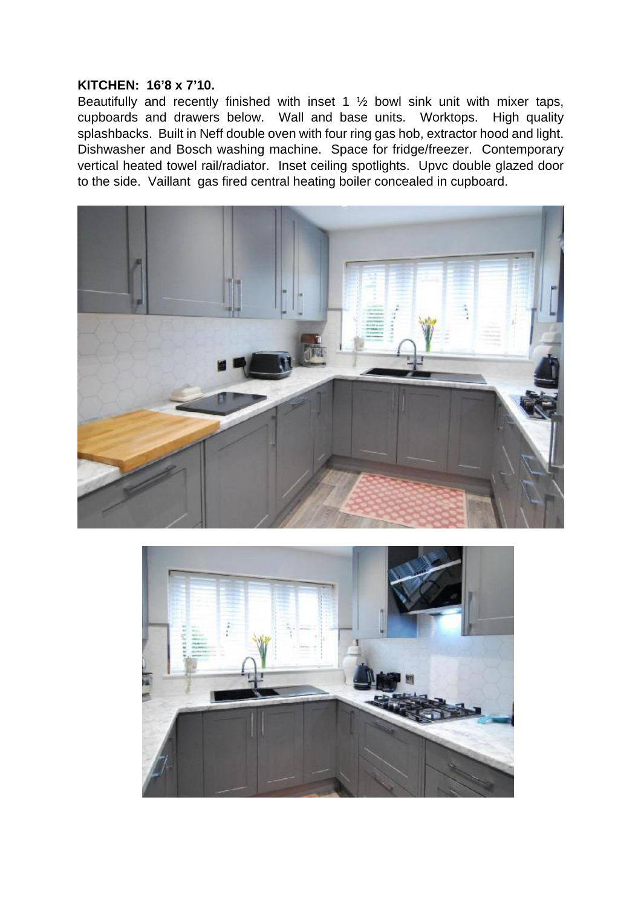#### **KITCHEN: 16'8 x 7'10.**

Beautifully and recently finished with inset 1 ½ bowl sink unit with mixer taps, cupboards and drawers below. Wall and base units. Worktops. High quality splashbacks. Built in Neff double oven with four ring gas hob, extractor hood and light. Dishwasher and Bosch washing machine. Space for fridge/freezer. Contemporary vertical heated towel rail/radiator. Inset ceiling spotlights. Upvc double glazed door to the side. Vaillant gas fired central heating boiler concealed in cupboard.



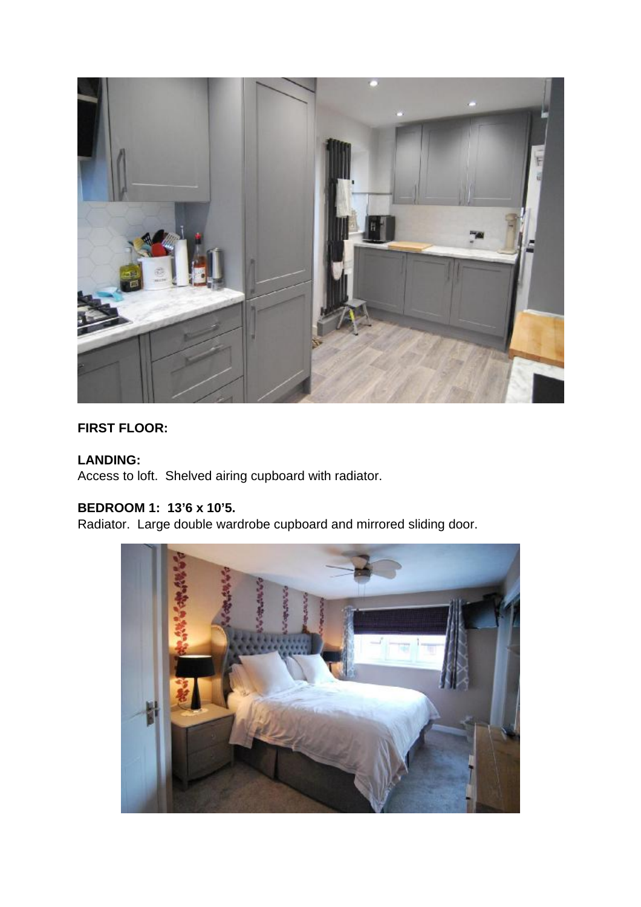

# **FIRST FLOOR:**

# **LANDING:**

Access to loft. Shelved airing cupboard with radiator.

# **BEDROOM 1: 13'6 x 10'5.**

Radiator. Large double wardrobe cupboard and mirrored sliding door.

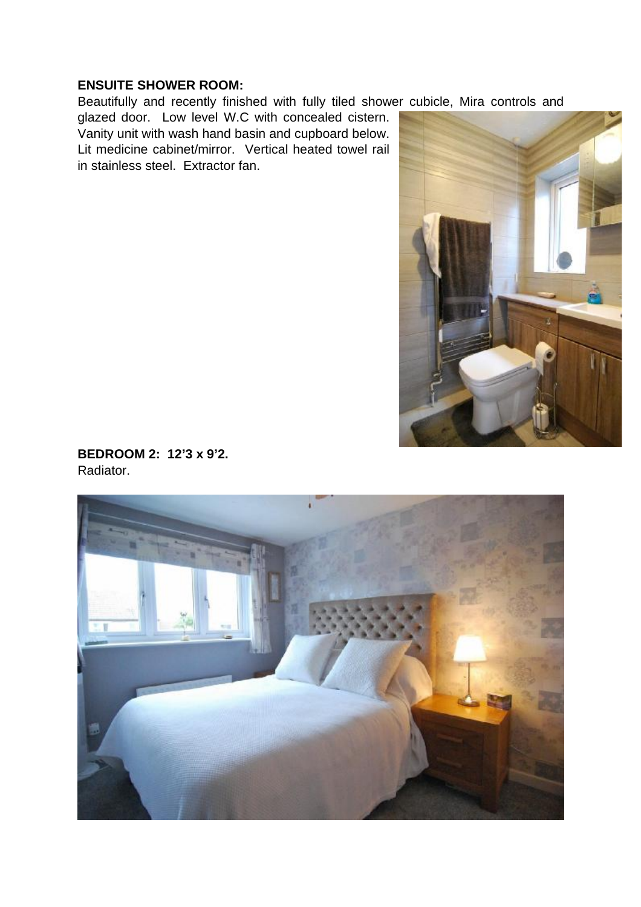### **ENSUITE SHOWER ROOM:**

Beautifully and recently finished with fully tiled shower cubicle, Mira controls and

glazed door. Low level W.C with concealed cistern. Vanity unit with wash hand basin and cupboard below. Lit medicine cabinet/mirror. Vertical heated towel rail in stainless steel. Extractor fan.



**BEDROOM 2: 12'3 x 9'2.**  Radiator.

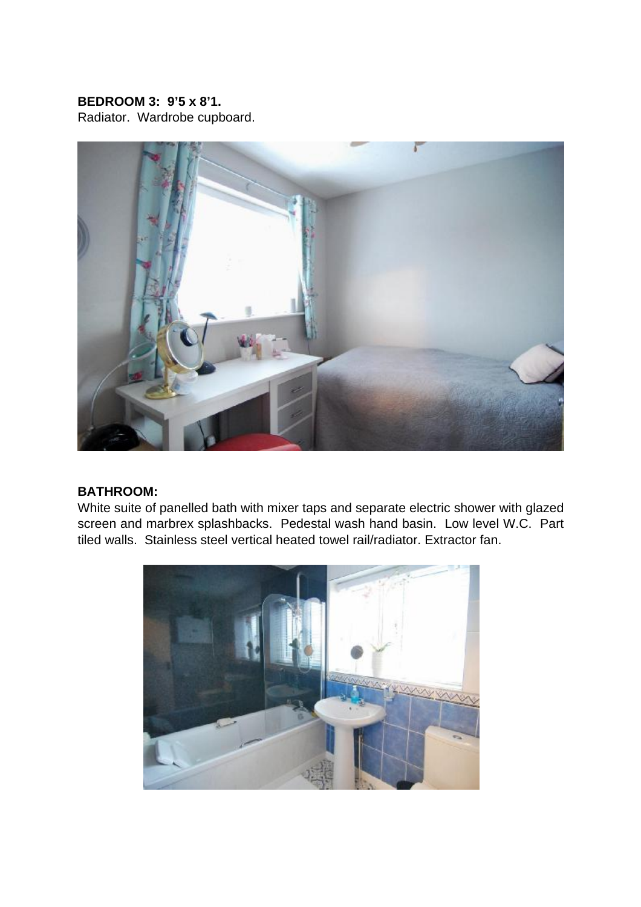## **BEDROOM 3: 9'5 x 8'1.**

Radiator. Wardrobe cupboard.



#### **BATHROOM:**

White suite of panelled bath with mixer taps and separate electric shower with glazed screen and marbrex splashbacks. Pedestal wash hand basin. Low level W.C. Part tiled walls. Stainless steel vertical heated towel rail/radiator. Extractor fan.

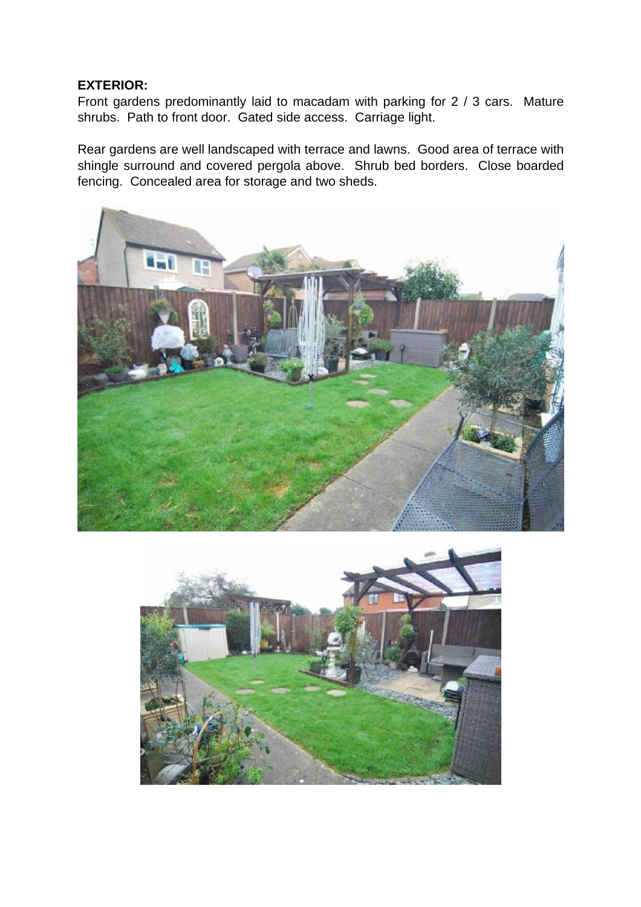#### **EXTERIOR:**

Front gardens predominantly laid to macadam with parking for 2 / 3 cars. Mature shrubs. Path to front door. Gated side access. Carriage light.

Rear gardens are well landscaped with terrace and lawns. Good area of terrace with shingle surround and covered pergola above. Shrub bed borders. Close boarded fencing. Concealed area for storage and two sheds.